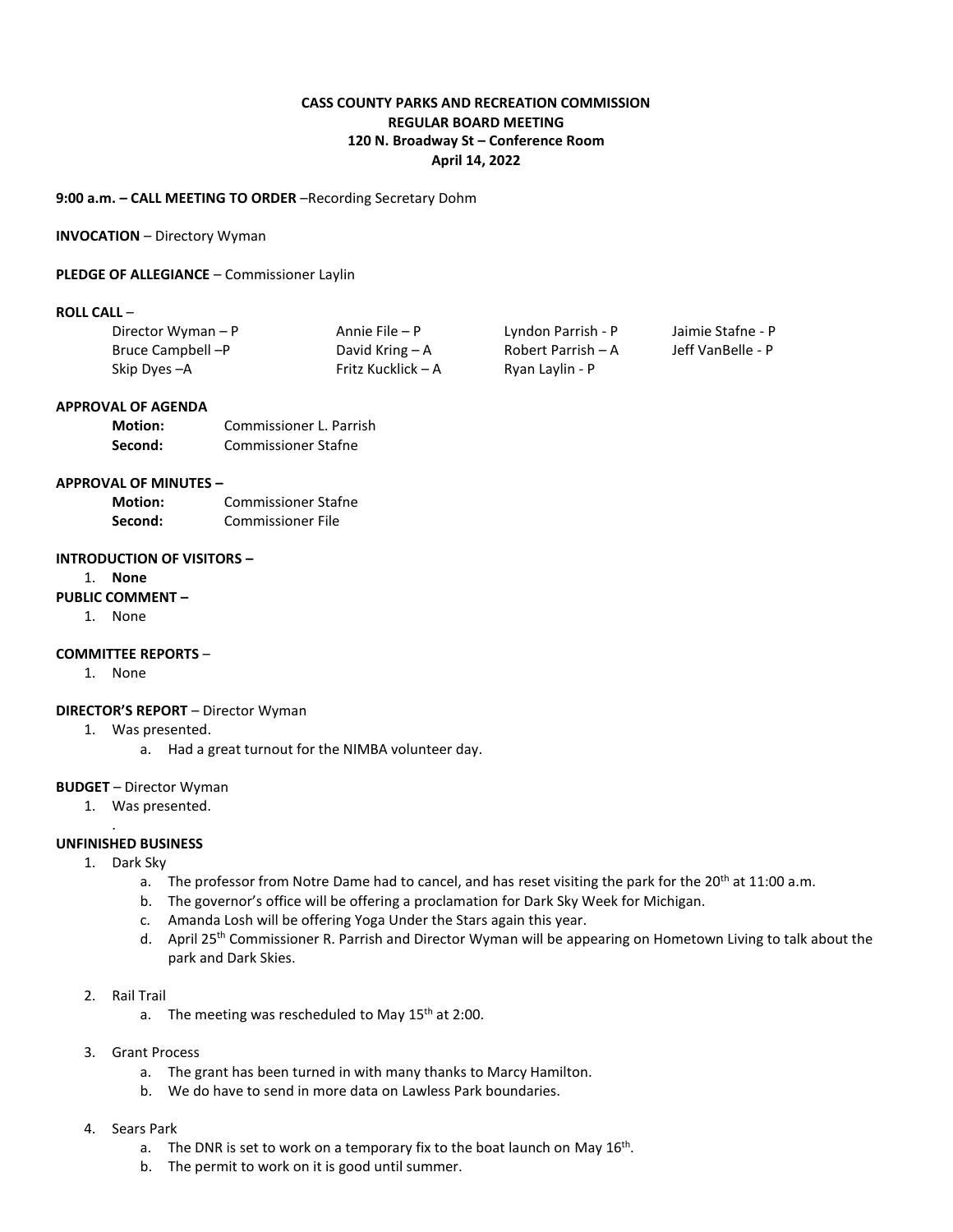# **CASS COUNTY PARKS AND RECREATION COMMISSION REGULAR BOARD MEETING 120 N. Broadway St – Conference Room April 14, 2022**

# **9:00 a.m. – CALL MEETING TO ORDER** –Recording Secretary Dohm

#### **INVOCATION** – Directory Wyman

### **PLEDGE OF ALLEGIANCE** – Commissioner Laylin

### **ROLL CALL** –

| Director Wyman - P | Annie File – P     | Lyndon Parrish - P | Jaimie Stafne - P |
|--------------------|--------------------|--------------------|-------------------|
| Bruce Campbell --P | David Kring $-A$   | Robert Parrish – A | Jeff VanBelle - P |
| Skip Dyes - A      | Fritz Kucklick – A | Ryan Laylin - P    |                   |

#### **APPROVAL OF AGENDA**

| <b>Motion:</b> | Commissioner L. Parrish    |
|----------------|----------------------------|
| Second:        | <b>Commissioner Stafne</b> |

### **APPROVAL OF MINUTES –**

| <b>Motion:</b> | <b>Commissioner Stafne</b> |
|----------------|----------------------------|
| Second:        | Commissioner File          |

### **INTRODUCTION OF VISITORS –**

1. **None**

# **PUBLIC COMMENT –**

1. None

### **COMMITTEE REPORTS** –

1. None

# **DIRECTOR'S REPORT** – Director Wyman

- 1. Was presented.
	- a. Had a great turnout for the NIMBA volunteer day.

### **BUDGET** – Director Wyman

1. Was presented.

### **UNFINISHED BUSINESS**

.

- 1. Dark Sky
	- a. The professor from Notre Dame had to cancel, and has reset visiting the park for the 20<sup>th</sup> at 11:00 a.m.
	- b. The governor's office will be offering a proclamation for Dark Sky Week for Michigan.
	- c. Amanda Losh will be offering Yoga Under the Stars again this year.
	- d. April 25<sup>th</sup> Commissioner R. Parrish and Director Wyman will be appearing on Hometown Living to talk about the park and Dark Skies.
- 2. Rail Trail
	- a. The meeting was rescheduled to May  $15<sup>th</sup>$  at 2:00.
- 3. Grant Process
	- a. The grant has been turned in with many thanks to Marcy Hamilton.
	- b. We do have to send in more data on Lawless Park boundaries.
- 4. Sears Park
	- a. The DNR is set to work on a temporary fix to the boat launch on May  $16^{\text{th}}$ .
	- b. The permit to work on it is good until summer.